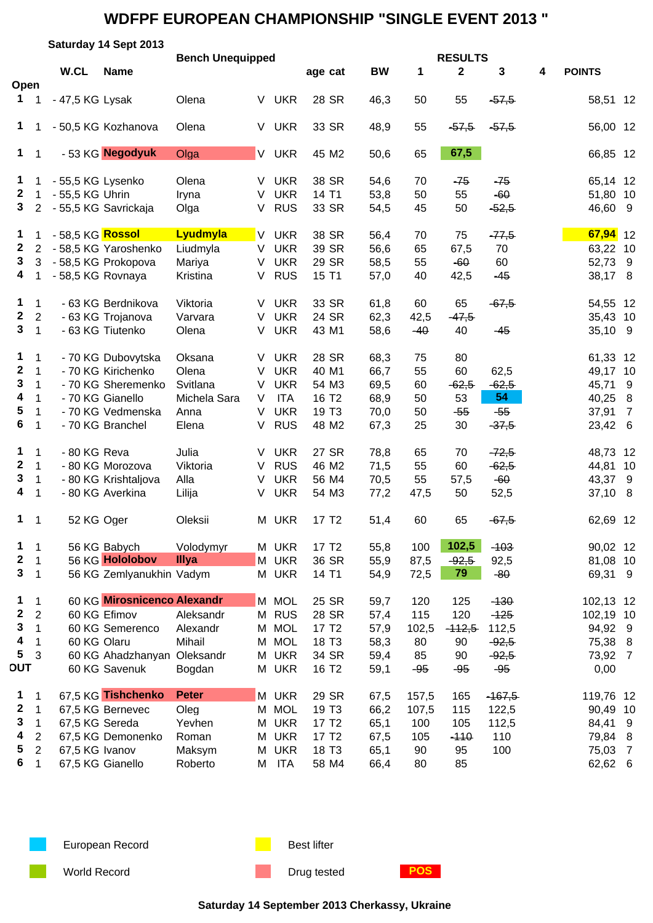|                  |                |                               | Saturday 14 Sept 2013       |                         |          |            |                   |           |       |                |          |   |               |                |  |
|------------------|----------------|-------------------------------|-----------------------------|-------------------------|----------|------------|-------------------|-----------|-------|----------------|----------|---|---------------|----------------|--|
|                  |                | W.CL                          |                             | <b>Bench Unequipped</b> |          |            |                   |           |       | <b>RESULTS</b> |          |   |               |                |  |
| Open             |                |                               | <b>Name</b>                 |                         |          |            | age cat           | <b>BW</b> | 1     | $\mathbf{2}$   | 3        | 4 | <b>POINTS</b> |                |  |
| $\mathbf 1$      |                | - 47,5 KG Lysak               |                             | Olena                   | V        | <b>UKR</b> | 28 SR             | 46,3      | 50    | 55             | $-57,5$  |   | 58,51 12      |                |  |
| $\mathbf 1$      |                |                               | - 50,5 KG Kozhanova         | Olena                   | V        | <b>UKR</b> | 33 SR             | 48,9      | 55    | $-57,5$        | $-57,5$  |   | 56,00 12      |                |  |
| $\mathbf 1$      | 1              |                               | - 53 KG Negodyuk            | Olga                    |          | V UKR      | 45 M2             | 50,6      | 65    | 67,5           |          |   | 66,85 12      |                |  |
| $\mathbf{1}$     | 1              | - 55,5 KG Lysenko             |                             | Olena                   | V        | <b>UKR</b> | 38 SR             | 54,6      | 70    | -75            | -75      |   | 65,14 12      |                |  |
| $\mathbf{2}$     | $\mathbf 1$    | - 55,5 KG Uhrin               |                             | Iryna                   | V        | <b>UKR</b> | 14 T1             | 53,8      | 50    | 55             | $-60$    |   | 51,80         | 10             |  |
| 3                | $\overline{2}$ |                               | - 55,5 KG Savrickaja        | Olga                    | V        | <b>RUS</b> | 33 SR             | 54,5      | 45    | 50             | $-52,5$  |   | 46,60 9       |                |  |
| $\mathbf 1$      | 1              | - 58,5 KG <mark>Rossol</mark> |                             | Lyudmyla                | <b>V</b> | <b>UKR</b> | 38 SR             | 56,4      | 70    | 75             | $-77,5$  |   | $67,94$ 12    |                |  |
| $\mathbf{2}$     | $\overline{2}$ |                               | - 58,5 KG Yaroshenko        | Liudmyla                | $\vee$   | <b>UKR</b> | 39 SR             | 56,6      | 65    | 67,5           | 70       |   | 63,22 10      |                |  |
| 3                | 3              |                               | - 58,5 KG Prokopova         | Mariya                  | V        | <b>UKR</b> | 29 SR             | 58,5      | 55    | $-60$          | 60       |   | 52,73         | 9              |  |
| 4                | 1              | - 58,5 KG Rovnaya             |                             | Kristina                | V        | <b>RUS</b> | 15 T1             | 57,0      | 40    | 42,5           | $-45$    |   | 38,17 8       |                |  |
| 1                | $\mathbf 1$    |                               | - 63 KG Berdnikova          | Viktoria                | V        | <b>UKR</b> | 33 SR             | 61,8      | 60    | 65             | $-67,5$  |   | 54,55 12      |                |  |
| $\boldsymbol{2}$ | $\overline{c}$ |                               | - 63 KG Trojanova           | Varvara                 | V        | <b>UKR</b> | 24 SR             | 62,3      | 42,5  | $-47,5$        |          |   | 35,43 10      |                |  |
| $\mathbf{3}$     | $\mathbf{1}$   |                               | - 63 KG Tiutenko            | Olena                   | V        | <b>UKR</b> | 43 M1             | 58,6      | $-40$ | 40             | $-45$    |   | 35,10 9       |                |  |
| 1                | $\mathbf 1$    |                               | - 70 KG Dubovytska          | Oksana                  | V        | <b>UKR</b> | 28 SR             | 68,3      | 75    | 80             |          |   | 61,33 12      |                |  |
| $\mathbf 2$      | $\mathbf{1}$   |                               | - 70 KG Kirichenko          | Olena                   | V        | <b>UKR</b> | 40 M1             | 66,7      | 55    | 60             | 62,5     |   | 49,17 10      |                |  |
| 3                | $\mathbf{1}$   |                               | - 70 KG Sheremenko          | Svitlana                | V        | <b>UKR</b> | 54 M3             | 69,5      | 60    | $-62,5$        | $-62,5$  |   | 45,71         | 9              |  |
| 4                | 1              |                               | - 70 KG Gianello            | Michela Sara            | V        | <b>ITA</b> | 16 T <sub>2</sub> | 68,9      | 50    | 53             | 54       |   | 40,25         | 8              |  |
| 5                | $\mathbf 1$    |                               | - 70 KG Vedmenska           | Anna                    | V        | <b>UKR</b> | 19 T <sub>3</sub> | 70,0      | 50    | $-55$          | $-55$    |   | 37,91         | $\overline{7}$ |  |
| 6                | $\mathbf{1}$   |                               | - 70 KG Branchel            | Elena                   | V        | <b>RUS</b> | 48 M2             | 67,3      | 25    | 30             | $-37,5$  |   | 23,42 6       |                |  |
| 1                | $\mathbf 1$    | - 80 KG Reva                  |                             | Julia                   | V        | <b>UKR</b> | 27 SR             | 78,8      | 65    | 70             | $-72,5$  |   | 48,73 12      |                |  |
| 2                | $\mathbf{1}$   |                               | - 80 KG Morozova            | Viktoria                | V        | <b>RUS</b> | 46 M2             | 71,5      | 55    | 60             | $-62,5$  |   | 44,81 10      |                |  |
| 3                | $\mathbf{1}$   |                               | - 80 KG Krishtaljova        | Alla                    | V        | <b>UKR</b> | 56 M4             | 70,5      | 55    | 57,5           | $-60$    |   | 43,37         | -9             |  |
| 4                | 1              |                               | - 80 KG Averkina            | Lilija                  | V        | <b>UKR</b> | 54 M3             | 77,2      | 47,5  | 50             | 52,5     |   | 37,10 8       |                |  |
| $\mathbf 1$      | $\overline{1}$ | 52 KG Oger                    |                             | Oleksii                 |          | M UKR      | 17 T <sub>2</sub> | 51,4      | 60    | 65             | $-67,5$  |   | 62,69 12      |                |  |
| 1                | $\mathbf 1$    |                               | 56 KG Babych                | Volodymyr               |          | M UKR      | 17 T <sub>2</sub> | 55,8      | 100   | 102,5          | $-103$   |   | 90,02 12      |                |  |
| 2                | $\mathbf 1$    |                               | 56 KG Hololobov             | Illya                   |          | M UKR      | 36 SR             | 55,9      | 87,5  | $-92,5$        | 92,5     |   | 81,08 10      |                |  |
| 3                | $\mathbf 1$    |                               | 56 KG Zemlyanukhin Vadym    |                         |          | M UKR      | 14 T1             | 54,9      | 72,5  | 79             | $-80$    |   | 69,31 9       |                |  |
| 1                | $\mathbf 1$    |                               | 60 KG Mirosnicenco Alexandr |                         |          | M MOL      | 25 SR             | 59,7      | 120   | 125            | $-130$   |   | 102,13 12     |                |  |
| 2                | $\overline{2}$ |                               | 60 KG Efimov                | Aleksandr               |          | M RUS      | 28 SR             | 57,4      | 115   | 120            | $-125$   |   | 102,19 10     |                |  |
| 3                | 1              |                               | 60 KG Semerenco             | Alexandr                | М        | <b>MOL</b> | 17 T <sub>2</sub> | 57,9      | 102,5 | $-112,5$       | 112,5    |   | 94,92 9       |                |  |
| 4                | 1              | 60 KG Olaru                   |                             | Mihail                  |          | M MOL      | 18 T3             | 58,3      | 80    | 90             | $-92,5$  |   | 75,38 8       |                |  |
| 5                | 3              |                               | 60 KG Ahadzhanyan Oleksandr |                         |          | M UKR      | 34 SR             | 59,4      | 85    | 90             | $-92,5$  |   | 73,92 7       |                |  |
| <b>OUT</b>       |                |                               | 60 KG Savenuk               | Bogdan                  |          | M UKR      | 16 T <sub>2</sub> | 59,1      | $-95$ | $-95$          | $-95$    |   | 0,00          |                |  |
| 1                | $\mathbf 1$    |                               | 67,5 KG Tishchenko          | <b>Peter</b>            |          | M UKR      | 29 SR             | 67,5      | 157,5 | 165            | $-467,5$ |   | 119,76 12     |                |  |
| $\boldsymbol{2}$ | $\mathbf 1$    |                               | 67,5 KG Bernevec            | Oleg                    |          | M MOL      | 19 T <sub>3</sub> | 66,2      | 107,5 | 115            | 122,5    |   | 90,49 10      |                |  |
| 3                | $\mathbf 1$    | 67,5 KG Sereda                |                             | Yevhen                  |          | M UKR      | 17 T <sub>2</sub> | 65,1      | 100   | 105            | 112,5    |   | 84,41         | 9              |  |
| 4                | $\overline{c}$ |                               | 67,5 KG Demonenko           | Roman                   |          | M UKR      | 17 T <sub>2</sub> | 67,5      | 105   | $-110$         | 110      |   | 79,84         | 8              |  |
| 5                | $\overline{2}$ | 67,5 KG Ivanov                |                             | Maksym                  |          | M UKR      | 18 T <sub>3</sub> | 65,1      | 90    | 95             | 100      |   | 75,03         | $\overline{7}$ |  |
| 6                | $\mathbf 1$    |                               | 67,5 KG Gianello            | Roberto                 |          | M ITA      | 58 M4             | 66,4      | 80    | 85             |          |   | 62,62 6       |                |  |



European Record **Best lifter** Best lifter

World Record **Drug tested POS** 

**Saturday 14 September 2013 Cherkassy, Ukraine**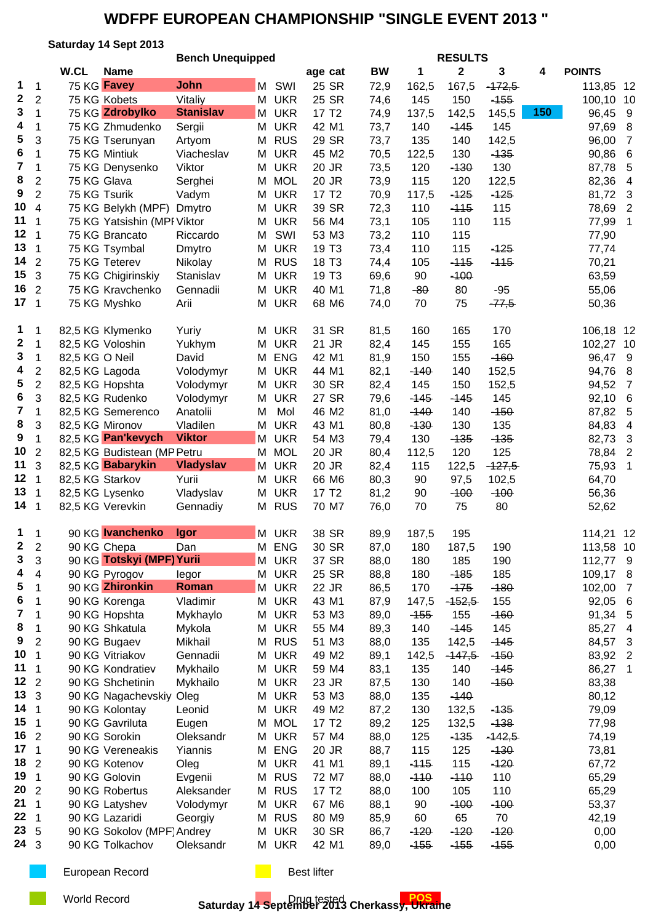### **Saturday 14 Sept 2013**

|                 |                          |                  | <b>Bench Unequipped</b>                    |                  |   |                |                   | <b>RESULTS</b> |            |                  |               |     |                  |                         |  |  |
|-----------------|--------------------------|------------------|--------------------------------------------|------------------|---|----------------|-------------------|----------------|------------|------------------|---------------|-----|------------------|-------------------------|--|--|
|                 |                          | W.CL             | <b>Name</b>                                |                  |   |                | age cat           | <b>BW</b>      | 1          | $\mathbf{2}$     | 3             | 4   | <b>POINTS</b>    |                         |  |  |
| 1               | $\mathbf 1$              | 75 KG Favey      |                                            | <b>John</b>      |   | M SWI          | 25 SR             | 72,9           | 162,5      | 167,5            | $-472,5$      |     | 113,85           | -12                     |  |  |
| $\mathbf{2}$    | $\overline{2}$           |                  | 75 KG Kobets                               | Vitaliy          |   | M UKR          | 25 SR             | 74,6           | 145        | 150              | $-155$        |     | 100,10           | 10                      |  |  |
| 3               | 1                        |                  | 75 KG Zdrobylko                            | <b>Stanislav</b> |   | M UKR          | 17 T <sub>2</sub> | 74,9           | 137,5      | 142,5            | 145,5         | 150 | 96,45            | 9                       |  |  |
| 4               | 1                        |                  | 75 KG Zhmudenko                            | Sergii           |   | M UKR          | 42 M1             | 73,7           | 140        | $-145$           | 145           |     | 97,69            | 8                       |  |  |
| 5               | 3                        |                  | 75 KG Tserunyan                            | Artyom           | М | <b>RUS</b>     | 29 SR             | 73,7           | 135        | 140              | 142,5         |     | 96,00            | $\overline{7}$          |  |  |
| 6               | 1                        |                  | 75 KG Mintiuk                              | Viacheslav       | M | <b>UKR</b>     | 45 M2             | 70,5           | 122,5      | 130              | $-135$        |     | 90,86            | 6                       |  |  |
| 7               | 1                        |                  | 75 KG Denysenko                            | Viktor           | M | <b>UKR</b>     | 20 JR             | 73,5           | 120        | $-130$           | 130           |     | 87,78            | 5                       |  |  |
| 8               | 2                        | 75 KG Glava      |                                            | Serghei          |   | M MOL          | 20 JR             | 73,9           | 115        | 120              | 122,5         |     | 82,36            | 4                       |  |  |
| 9               | $\overline{2}$           | 75 KG Tsurik     |                                            | Vadym            | M | <b>UKR</b>     | 17 T <sub>2</sub> | 70,9           | 117,5      | $-125$           | $-125$        |     | 81,72            | 3                       |  |  |
| 10              | 4                        |                  | 75 KG Belykh (MPF)                         | Dmytro           | М | <b>UKR</b>     | 39 SR             | 72,3           | 110        | $-115$           | 115           |     | 78,69            | $\overline{2}$          |  |  |
| 11              | $\overline{1}$           |                  | 75 KG Yatsishin (MPI Viktor                |                  | М | <b>UKR</b>     | 56 M4             | 73,1           | 105        | 110              | 115           |     | 77,99            | $\mathbf 1$             |  |  |
| 12 <sub>1</sub> |                          |                  | 75 KG Brancato                             | Riccardo         | M | SWI            | 53 M3             | 73,2           | 110        | 115              |               |     | 77,90            |                         |  |  |
| 13 <sub>1</sub> |                          |                  | 75 KG Tsymbal                              | Dmytro           | M | <b>UKR</b>     | 19 T <sub>3</sub> | 73,4           | 110        | 115              | $-125$        |     | 77,74            |                         |  |  |
| 14              | $\overline{2}$           |                  | 75 KG Teterev                              | Nikolay          | M | <b>RUS</b>     | 18 T <sub>3</sub> | 74,4           | 105        | $-115$           | $-115$        |     | 70,21            |                         |  |  |
| 15 <sub>1</sub> | 3                        |                  | 75 KG Chigirinskiy                         | Stanislav        | М | <b>UKR</b>     | 19 T <sub>3</sub> | 69,6           | 90         | $-100$           |               |     | 63,59            |                         |  |  |
| 16              | $\overline{2}$           |                  | 75 KG Kravchenko                           | Gennadii         | М | <b>UKR</b>     | 40 M1             | 71,8           | $-80$      | 80               | $-95$         |     | 55,06            |                         |  |  |
| 17 <sub>1</sub> |                          |                  | 75 KG Myshko                               | Arii             | М | <b>UKR</b>     | 68 M6             | 74,0           | 70         | 75               | $-77,5$       |     | 50,36            |                         |  |  |
|                 |                          |                  |                                            |                  |   |                |                   |                |            |                  |               |     |                  |                         |  |  |
| 1               | 1                        |                  | 82,5 KG Klymenko                           | Yuriy            |   | M UKR          | 31 SR             | 81,5           | 160        | 165              | 170           |     | 106,18 12        |                         |  |  |
| $\mathbf 2$     | 1                        | 82,5 KG Voloshin |                                            | Yukhym           |   | M UKR          | 21 JR             | 82,4           | 145        | 155              | 165           |     | 102,27 10        |                         |  |  |
| 3               | $\mathbf{1}$             | 82,5 KG O Neil   |                                            | David            | M | <b>ENG</b>     | 42 M1             | 81,9           | 150        | 155              | $-160$        |     | 96,47            | 9                       |  |  |
| 4               | $\overline{\mathbf{c}}$  | 82,5 KG Lagoda   |                                            | Volodymyr        | M | <b>UKR</b>     | 44 M1             | 82,1           | $-140$     | 140              | 152,5         |     | 94,76            | 8                       |  |  |
| 5               | $\overline{\mathbf{c}}$  | 82,5 KG Hopshta  |                                            | Volodymyr        | M | <b>UKR</b>     | 30 SR             | 82,4           | 145        | 150              | 152,5         |     | 94,52            | $\overline{7}$          |  |  |
| 6               | 3                        |                  | 82,5 KG Rudenko                            | Volodymyr        | М | <b>UKR</b>     | 27 SR             | 79,6           | $-145$     | $-145$           | 145           |     | 92,10            | 6                       |  |  |
| 7               | 1                        |                  | 82,5 KG Semerenco                          | Anatolii         | M | Mol            | 46 M2             | 81,0           | $-140$     | 140              | $-150$        |     | 87,82            | 5                       |  |  |
| 8               | 3                        | 82,5 KG Mironov  |                                            | Vladilen         | M | <b>UKR</b>     | 43 M1             | 80,8           | $-130$     | 130              | 135           |     | 84,83            | 4                       |  |  |
| 9               | $\mathbf{1}$             |                  | 82,5 KG Pan'kevych                         | <b>Viktor</b>    | M | <b>UKR</b>     | 54 M3             | 79,4           | 130        | $-135$           | $-135$        |     | 82,73            | $\mathbf{3}$            |  |  |
| 10              | $\overline{2}$           |                  | 82,5 KG Budistean (MP Petru                |                  | M | <b>MOL</b>     | 20 JR             | 80,4           | 112,5      | 120              | 125           |     | 78,84            | $\overline{2}$          |  |  |
| 11              | 3                        |                  | 82,5 KG Babarykin                          | <b>Vladyslav</b> | M | <b>UKR</b>     | 20 JR             | 82,4           | 115        | 122,5            | $-127,5$      |     | 75,93            | 1                       |  |  |
| 12 <sub>1</sub> |                          | 82,5 KG Starkov  |                                            | Yurii            | М | <b>UKR</b>     | 66 M6             | 80,3           | 90         | 97,5             | 102,5         |     | 64,70            |                         |  |  |
| 13              | $\mathbf{1}$             | 82,5 KG Lysenko  |                                            | Vladyslav        | M | <b>UKR</b>     | 17 T <sub>2</sub> | 81,2           | 90         | $-100$           | $-100$        |     | 56,36            |                         |  |  |
| 14 <sub>1</sub> |                          |                  | 82,5 KG Verevkin                           | Gennadiy         |   | M RUS          | 70 M7             | 76,0           | 70         | 75               | 80            |     | 52,62            |                         |  |  |
|                 |                          |                  |                                            |                  |   |                |                   |                |            |                  |               |     |                  |                         |  |  |
| 1               | $\mathbf 1$              |                  | 90 KG Ivanchenko                           | <b>Igor</b>      |   | M UKR          | 38 SR             | 89,9           | 187,5      | 195              |               |     | 114,21 12        |                         |  |  |
| 2               | 2                        | 90 KG Chepa      |                                            | Dan              | М | ENG            | 30 SR             | 87,0           | 180        | 187,5            | 190           |     | 113,58 10        |                         |  |  |
| 3<br>4          | 3                        |                  | 90 KG Totskyi (MPF) Yurii<br>90 KG Pyrogov |                  |   | M UKR          | 37 SR             | 88,0           | 180        | 185              | 190           |     | 112,77 9         |                         |  |  |
| 5               | 4<br>1                   |                  | 90 KG Zhironkin                            | legor<br>Roman   |   | M UKR<br>M UKR | 25 SR<br>22 JR    | 88,8           | 180<br>170 | $-185$<br>$-175$ | 185           |     | 109,17<br>102,00 | 8<br>7                  |  |  |
| 6               | 1                        |                  | 90 KG Korenga                              | Vladimir         |   | M UKR          | 43 M1             | 86,5           | 147,5      | $-152,5$         | $-180$<br>155 |     | 92,05            | 6                       |  |  |
| 7               | 1                        |                  | 90 KG Hopshta                              | Mykhaylo         | M | <b>UKR</b>     | 53 M3             | 87,9<br>89,0   | $-155$     | 155              | $-160$        |     | 91,34            | 5                       |  |  |
| 8               | 1                        |                  | 90 KG Shkatula                             | Mykola           | M | <b>UKR</b>     | 55 M4             | 89,3           | 140        | $-145$           | 145           |     | 85,27            | $\overline{4}$          |  |  |
| 9               | $\overline{2}$           |                  | 90 KG Bugaev                               | Mikhail          | М | <b>RUS</b>     | 51 M3             | 88,0           | 135        | 142,5            | $-145$        |     | 84,57            | 3                       |  |  |
| 10              | $\overline{1}$           |                  | 90 KG Vitriakov                            | Gennadii         |   | M UKR          | 49 M2             | 89,1           | 142,5      | $-147,5$         | $-150$        |     | 83,92            | $\overline{2}$          |  |  |
| 11              | $\overline{\phantom{0}}$ |                  | 90 KG Kondratiev                           | Mykhailo         |   | M UKR          | 59 M4             | 83,1           | 135        | 140              | $-145$        |     | 86,27            | $\overline{\mathbf{1}}$ |  |  |
| $12 \quad 2$    |                          |                  | 90 KG Shchetinin                           | Mykhailo         | M | <b>UKR</b>     | 23 JR             | 87,5           | 130        | 140              | $-150$        |     | 83,38            |                         |  |  |
| 13 <sub>3</sub> |                          |                  | 90 KG Nagachevskiy Oleg                    |                  | M | <b>UKR</b>     | 53 M3             | 88,0           | 135        | $-140$           |               |     | 80,12            |                         |  |  |
| 14 <sub>1</sub> |                          |                  | 90 KG Kolontay                             | Leonid           | M | <b>UKR</b>     | 49 M2             | 87,2           | 130        | 132,5            | $-135$        |     | 79,09            |                         |  |  |
| 15 <sub>1</sub> |                          |                  | 90 KG Gavriluta                            | Eugen            |   | M MOL          | 17 T <sub>2</sub> | 89,2           | 125        | 132,5            | $-138$        |     | 77,98            |                         |  |  |
| 16 <sub>2</sub> |                          |                  | 90 KG Sorokin                              | Oleksandr        |   | M UKR          | 57 M4             | 88,0           | 125        | $-135$           | $-142,5$      |     | 74,19            |                         |  |  |
| 17 <sub>1</sub> |                          |                  | 90 KG Vereneakis                           | Yiannis          |   | M ENG          | 20 JR             | 88,7           | 115        | 125              | $-130$        |     | 73,81            |                         |  |  |
| 18              | $\overline{2}$           |                  | 90 KG Kotenov                              | Oleg             |   | M UKR          | 41 M1             | 89,1           | $-115$     | 115              | $-120$        |     | 67,72            |                         |  |  |
| 19              | $\overline{1}$           |                  | 90 KG Golovin                              | Evgenii          |   | M RUS          | 72 M7             | 88,0           | $-110$     | $-110$           | 110           |     | 65,29            |                         |  |  |
| 20 <sub>2</sub> |                          |                  | 90 KG Robertus                             | Aleksander       |   | M RUS          | 17 T <sub>2</sub> | 88,0           | 100        | 105              | 110           |     | 65,29            |                         |  |  |
| 21              | $\overline{1}$           |                  | 90 KG Latyshev                             | Volodymyr        |   | M UKR          | 67 M6             | 88,1           | 90         | $-100$           | $-100$        |     | 53,37            |                         |  |  |
| 22 <sub>1</sub> |                          |                  | 90 KG Lazaridi                             | Georgiy          | M | <b>RUS</b>     | 80 M9             | 85,9           | 60         | 65               | 70            |     | 42,19            |                         |  |  |
| 23, 5           |                          |                  | 90 KG Sokolov (MPF) Andrey                 |                  | M | <b>UKR</b>     | 30 SR             | 86,7           | $-120$     | $-120$           | $-120$        |     | 0,00             |                         |  |  |
| 24 <sub>3</sub> |                          |                  | 90 KG Tolkachov                            | Oleksandr        |   | M UKR          | 42 M1             | 89,0           | $-155$     | $-155$           | $-155$        |     | 0,00             |                         |  |  |
|                 |                          |                  |                                            |                  |   |                |                   |                |            |                  |               |     |                  |                         |  |  |

European Record **Best lifter** Best lifter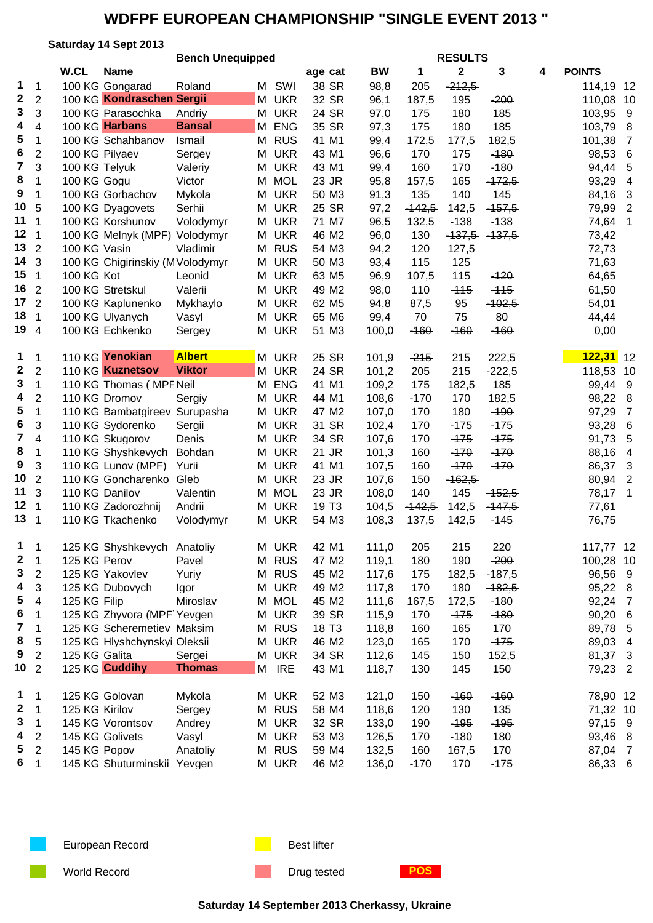### **Saturday 14 Sept 2013**

|                 |                | <b>Bench Unequipped</b> |                                  |               |   | <b>RESULTS</b> |                   |           |          |             |          |   |               |                         |
|-----------------|----------------|-------------------------|----------------------------------|---------------|---|----------------|-------------------|-----------|----------|-------------|----------|---|---------------|-------------------------|
|                 |                | W.CL                    | <b>Name</b>                      |               |   |                | age cat           | <b>BW</b> | 1        | $\mathbf 2$ | 3        | 4 | <b>POINTS</b> |                         |
| 1               | $\mathbf 1$    |                         | 100 KG Gongarad                  | Roland        |   | M SWI          | 38 SR             | 98,8      | 205      | $-212,5$    |          |   | 114,19 12     |                         |
| 2               | $\overline{2}$ |                         | 100 KG Kondraschen Sergii        |               | M | <b>UKR</b>     | 32 SR             | 96,1      | 187,5    | 195         | $-200$   |   | 110,08        | 10                      |
| 3               | 3              |                         | 100 KG Parasochka                | Andriy        | M | <b>UKR</b>     | 24 SR             | 97,0      | 175      | 180         | 185      |   | 103,95        | 9                       |
| 4               | 4              |                         | 100 KG Harbans                   | <b>Bansal</b> | M | <b>ENG</b>     | 35 SR             | 97,3      | 175      | 180         | 185      |   | 103,79        | 8                       |
| 5               | 1              |                         | 100 KG Schahbanov                | Ismail        | M | <b>RUS</b>     | 41 M1             | 99,4      | 172,5    | 177,5       | 182,5    |   | 101,38        | $\overline{7}$          |
| 6               | $\overline{2}$ | 100 KG Pilyaev          |                                  | Sergey        | M | <b>UKR</b>     | 43 M1             | 96,6      | 170      | 175         | $-180$   |   | 98,53         | 6                       |
| 7               | 3              | 100 KG Telyuk           |                                  | Valeriy       | M | <b>UKR</b>     | 43 M1             | 99,4      | 160      | 170         | $-180$   |   | 94,44         | 5                       |
| 8               | 1              | 100 KG Gogu             |                                  | Victor        | M | <b>MOL</b>     | 23 JR             | 95,8      | 157,5    | 165         | $-172,5$ |   | 93,29         | $\overline{\mathbf{4}}$ |
| 9               | 1              |                         | 100 KG Gorbachov                 | Mykola        | М | <b>UKR</b>     | 50 M3             | 91,3      | 135      | 140         | 145      |   | 84,16         | 3                       |
| 10              | 5              |                         | 100 KG Dyagovets                 | Serhii        | М | <b>UKR</b>     | 25 SR             | 97,2      | $-142,5$ | 142,5       | $-457,5$ |   | 79,99         | $\overline{2}$          |
| 11              | $\mathbf 1$    |                         | 100 KG Korshunov                 | Volodymyr     | M | <b>UKR</b>     | 71 M7             | 96,5      | 132,5    | $-138$      | $-138$   |   | 74,64         | 1                       |
| 12              | $\overline{1}$ |                         | 100 KG Melnyk (MPF) Volodymyr    |               |   | M UKR          | 46 M2             | 96,0      | 130      | $-137,5$    | $-137,5$ |   | 73,42         |                         |
| 13              | $\overline{2}$ | 100 KG Vasin            |                                  | Vladimir      | M | <b>RUS</b>     | 54 M3             | 94,2      | 120      | 127,5       |          |   | 72,73         |                         |
| 14              | 3              |                         | 100 KG Chigirinskiy (M Volodymyr |               | М | <b>UKR</b>     | 50 M3             | 93,4      | 115      | 125         |          |   | 71,63         |                         |
| 15              | $\mathbf 1$    | 100 KG Kot              |                                  | Leonid        | М | <b>UKR</b>     | 63 M <sub>5</sub> | 96,9      | 107,5    | 115         | $-120$   |   | 64,65         |                         |
| 16              | $\overline{2}$ |                         | 100 KG Stretskul                 | Valerii       | M | <b>UKR</b>     | 49 M2             | 98,0      | 110      | $-115$      | $-115$   |   | 61,50         |                         |
| 17              | $\overline{2}$ |                         | 100 KG Kaplunenko                | Mykhaylo      | М | <b>UKR</b>     | 62 M <sub>5</sub> | 94,8      | 87,5     | 95          | $-102,5$ |   | 54,01         |                         |
| 18              | $\mathbf{1}$   |                         | 100 KG Ulyanych                  | Vasyl         | M | <b>UKR</b>     | 65 M6             | 99,4      | 70       | 75          | 80       |   | 44,44         |                         |
| 19 <sub>4</sub> |                |                         | 100 KG Echkenko                  | Sergey        | М | <b>UKR</b>     | 51 M3             | 100,0     | $-160$   | $-160$      | $-160$   |   | 0,00          |                         |
| 1               | 1              |                         | 110 KG Yenokian                  | <b>Albert</b> |   | M UKR          | 25 SR             | 101,9     | $-215$   | 215         | 222,5    |   | 122,31        | 12                      |
| 2               | $\overline{2}$ |                         | 110 KG Kuznetsov                 | <b>Viktor</b> | M | <b>UKR</b>     | 24 SR             | 101,2     | 205      | 215         | $-222,5$ |   | 118,53        | 10                      |
| 3               | $\mathbf{1}$   |                         | 110 KG Thomas (MPF Neil          |               | M | <b>ENG</b>     | 41 M1             | 109,2     | 175      | 182,5       | 185      |   | 99,44         | 9                       |
| 4               | $\overline{2}$ |                         | 110 KG Dromov                    | Sergiy        | М | <b>UKR</b>     | 44 M1             | 108,6     | $-170$   | 170         | 182,5    |   | 98,22         | 8                       |
| 5               | $\mathbf{1}$   |                         | 110 KG Bambatgireev Surupasha    |               | M | <b>UKR</b>     | 47 M2             | 107,0     | 170      | 180         | $-190$   |   | 97,29         | $\overline{7}$          |
| 6               | 3              |                         | 110 KG Sydorenko                 | Sergii        | M | <b>UKR</b>     | 31 SR             | 102,4     | 170      | $-175$      | $-175$   |   | 93,28         | 6                       |
| 7               | 4              |                         | 110 KG Skugorov                  | Denis         | M | <b>UKR</b>     | 34 SR             | 107,6     | 170      | $-175$      | $-175$   |   | 91,73         | 5                       |
| 8               | 1              |                         | 110 KG Shyshkevych               | Bohdan        | M | <b>UKR</b>     | 21 JR             | 101,3     | 160      | $-170$      | $-170$   |   | 88,16         | 4                       |
| 9               | 3              |                         | 110 KG Lunov (MPF)               | Yurii         |   | M UKR          | 41 M1             | 107,5     | 160      | $-170$      | $-170$   |   | 86,37         | 3                       |
| 10              | $\overline{2}$ |                         | 110 KG Goncharenko               | Gleb          |   | M UKR          | 23 JR             | 107,6     | 150      | $-162,5$    |          |   | 80,94         | $\overline{2}$          |
| 11              | 3              | 110 KG Danilov          |                                  | Valentin      | M | <b>MOL</b>     | 23 JR             | 108,0     | 140      | 145         | $-152,5$ |   | 78,17         | 1                       |
| 12 <sub>2</sub> | $\mathbf 1$    |                         | 110 KG Zadorozhnij               | Andrii        | М | <b>UKR</b>     | 19 T <sub>3</sub> | 104,5     | $-142,5$ | 142,5       | $-147,5$ |   | 77,61         |                         |
| 13 <sub>1</sub> |                |                         | 110 KG Tkachenko                 | Volodymyr     | M | <b>UKR</b>     | 54 M3             | 108,3     | 137,5    | 142,5       | $-145$   |   | 76,75         |                         |
|                 |                |                         |                                  |               |   |                |                   |           |          |             |          |   |               |                         |
| 1               | $\mathbf{1}$   |                         | 125 KG Shyshkevych Anatoliy      |               |   | M UKR          | 42 M1             | 111,0     | 205      | 215         | 220      |   | 117,77 12     |                         |
| 2               | $\mathbf{1}$   | 125 KG Perov            |                                  | Pavel         |   | M RUS          | 47 M2             | 119,1     | 180      | 190         | $-200$   |   | 100,28 10     |                         |
| 3               | 2              |                         | 125 KG Yakovlev                  | Yuriy         |   | M RUS          | 45 M2             | 117,6     | 175      | 182,5       | $-187,5$ |   | 96,56 9       |                         |
| 4               | 3              |                         | 125 KG Dubovych                  | Igor          |   | M UKR          | 49 M2             | 117,8     | 170      | 180         | $-182,5$ |   | 95,22 8       |                         |
| 5               | 4              | 125 KG Filip            |                                  | Miroslav      |   | M MOL          | 45 M2             | 111,6     | 167,5    | 172,5       | $-180$   |   | 92,24 7       |                         |
| 6               | $\mathbf{1}$   |                         | 125 KG Zhyvora (MPF Yevgen       |               |   | M UKR          | 39 SR             | 115,9     | 170      | $-175$      | $-180$   |   | 90,20         | 6                       |
| 7               | $\mathbf{1}$   |                         | 125 KG Scheremetiev Maksim       |               |   | M RUS          | 18 T <sub>3</sub> | 118,8     | 160      | 165         | 170      |   | 89,78         | 5                       |
| 8               | 5              |                         | 125 KG Hlyshchynskyi Oleksii     |               |   | M UKR          | 46 M2             | 123,0     | 165      | 170         | $-175$   |   | 89,03         | $\overline{4}$          |
| 9               | $\overline{2}$ | 125 KG Galita           |                                  | Sergei        |   | M UKR          | 34 SR             | 112,6     | 145      | 150         | 152,5    |   | 81,37         | 3                       |
| 10 <sub>2</sub> |                |                         | 125 KG Cuddihy                   | <b>Thomas</b> |   | M IRE          | 43 M1             | 118,7     | 130      | 145         | 150      |   | 79,23 2       |                         |
| 1               | 1              |                         | 125 KG Golovan                   | Mykola        |   | M UKR          | 52 M3             | 121,0     | 150      | $-160$      | $-160$   |   | 78,90 12      |                         |
| $\mathbf 2$     | $\mathbf{1}$   | 125 KG Kirilov          |                                  | Sergey        |   | M RUS          | 58 M4             | 118,6     | 120      | 130         | 135      |   | 71,32 10      |                         |
| 3               | $\mathbf 1$    |                         | 145 KG Vorontsov                 | Andrey        |   | M UKR          | 32 SR             | 133,0     | 190      | $-195$      | $-195$   |   | 97,15 9       |                         |
| 4               | 2              |                         | 145 KG Golivets                  | Vasyl         |   | M UKR          | 53 M3             | 126,5     | 170      | $-180$      | 180      |   | 93,46 8       |                         |
| 5               | $\overline{2}$ | 145 KG Popov            |                                  | Anatoliy      |   | M RUS          | 59 M4             | 132,5     | 160      | 167,5       | 170      |   | 87,04 7       |                         |
| 6               | $\mathbf{1}$   |                         | 145 KG Shuturminskii Yevgen      |               |   | M UKR          | 46 M2             | 136,0     | $-170$   | 170         | $-175$   |   | 86,33 6       |                         |
|                 |                |                         |                                  |               |   |                |                   |           |          |             |          |   |               |                         |



European Record **Best lifter** Best lifter

World Record **Construction Construction Construction Drug tested POS** 

**Saturday 14 September 2013 Cherkassy, Ukraine**